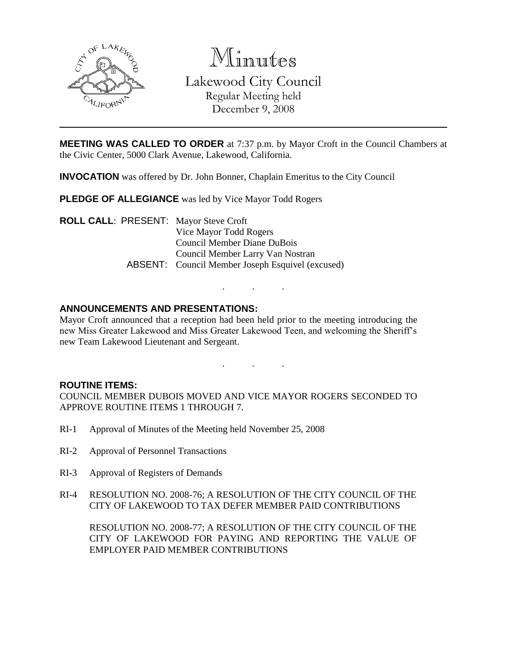

Minutes Lakewood City Council Regular Meeting held December 9, 2008

**MEETING WAS CALLED TO ORDER** at 7:37 p.m. by Mayor Croft in the Council Chambers at the Civic Center, 5000 Clark Avenue, Lakewood, California.

**INVOCATION** was offered by Dr. John Bonner, Chaplain Emeritus to the City Council

**PLEDGE OF ALLEGIANCE** was led by Vice Mayor Todd Rogers

**ROLL CALL**: PRESENT: Mayor Steve Croft Vice Mayor Todd Rogers Council Member Diane DuBois Council Member Larry Van Nostran ABSENT: Council Member Joseph Esquivel (excused)

### **ANNOUNCEMENTS AND PRESENTATIONS:**

Mayor Croft announced that a reception had been held prior to the meeting introducing the new Miss Greater Lakewood and Miss Greater Lakewood Teen, and welcoming the Sheriff's new Team Lakewood Lieutenant and Sergeant.

. . .

. . .

#### **ROUTINE ITEMS:**

COUNCIL MEMBER DUBOIS MOVED AND VICE MAYOR ROGERS SECONDED TO APPROVE ROUTINE ITEMS 1 THROUGH 7.

- RI-1 Approval of Minutes of the Meeting held November 25, 2008
- RI-2 Approval of Personnel Transactions
- RI-3 Approval of Registers of Demands
- RI-4 RESOLUTION NO. 2008-76; A RESOLUTION OF THE CITY COUNCIL OF THE CITY OF LAKEWOOD TO TAX DEFER MEMBER PAID CONTRIBUTIONS

RESOLUTION NO. 2008-77; A RESOLUTION OF THE CITY COUNCIL OF THE CITY OF LAKEWOOD FOR PAYING AND REPORTING THE VALUE OF EMPLOYER PAID MEMBER CONTRIBUTIONS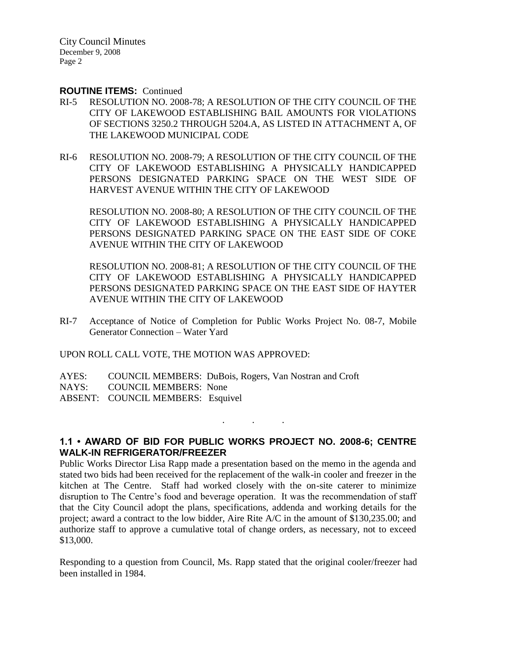City Council Minutes December 9, 2008 Page 2

#### **ROUTINE ITEMS:** Continued

- RI-5 RESOLUTION NO. 2008-78; A RESOLUTION OF THE CITY COUNCIL OF THE CITY OF LAKEWOOD ESTABLISHING BAIL AMOUNTS FOR VIOLATIONS OF SECTIONS 3250.2 THROUGH 5204.A, AS LISTED IN ATTACHMENT A, OF THE LAKEWOOD MUNICIPAL CODE
- RI-6 RESOLUTION NO. 2008-79; A RESOLUTION OF THE CITY COUNCIL OF THE CITY OF LAKEWOOD ESTABLISHING A PHYSICALLY HANDICAPPED PERSONS DESIGNATED PARKING SPACE ON THE WEST SIDE OF HARVEST AVENUE WITHIN THE CITY OF LAKEWOOD

RESOLUTION NO. 2008-80; A RESOLUTION OF THE CITY COUNCIL OF THE CITY OF LAKEWOOD ESTABLISHING A PHYSICALLY HANDICAPPED PERSONS DESIGNATED PARKING SPACE ON THE EAST SIDE OF COKE AVENUE WITHIN THE CITY OF LAKEWOOD

RESOLUTION NO. 2008-81; A RESOLUTION OF THE CITY COUNCIL OF THE CITY OF LAKEWOOD ESTABLISHING A PHYSICALLY HANDICAPPED PERSONS DESIGNATED PARKING SPACE ON THE EAST SIDE OF HAYTER AVENUE WITHIN THE CITY OF LAKEWOOD

RI-7 Acceptance of Notice of Completion for Public Works Project No. 08-7, Mobile Generator Connection – Water Yard

UPON ROLL CALL VOTE, THE MOTION WAS APPROVED:

AYES: COUNCIL MEMBERS: DuBois, Rogers, Van Nostran and Croft NAYS: COUNCIL MEMBERS: None ABSENT: COUNCIL MEMBERS: Esquivel

**1.1 • AWARD OF BID FOR PUBLIC WORKS PROJECT NO. 2008-6; CENTRE WALK-IN REFRIGERATOR/FREEZER**

. . .

Public Works Director Lisa Rapp made a presentation based on the memo in the agenda and stated two bids had been received for the replacement of the walk-in cooler and freezer in the kitchen at The Centre. Staff had worked closely with the on-site caterer to minimize disruption to The Centre's food and beverage operation. It was the recommendation of staff that the City Council adopt the plans, specifications, addenda and working details for the project; award a contract to the low bidder, Aire Rite A/C in the amount of \$130,235.00; and authorize staff to approve a cumulative total of change orders, as necessary, not to exceed \$13,000.

Responding to a question from Council, Ms. Rapp stated that the original cooler/freezer had been installed in 1984.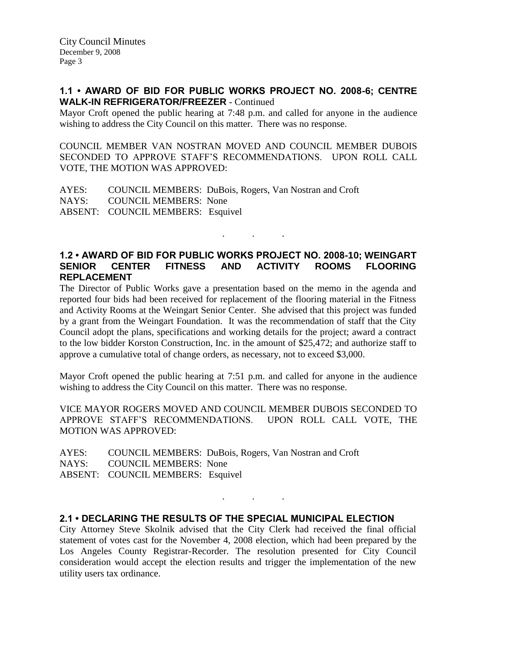### **1.1 • AWARD OF BID FOR PUBLIC WORKS PROJECT NO. 2008-6; CENTRE WALK-IN REFRIGERATOR/FREEZER** - Continued

Mayor Croft opened the public hearing at 7:48 p.m. and called for anyone in the audience wishing to address the City Council on this matter. There was no response.

COUNCIL MEMBER VAN NOSTRAN MOVED AND COUNCIL MEMBER DUBOIS SECONDED TO APPROVE STAFF'S RECOMMENDATIONS. UPON ROLL CALL VOTE, THE MOTION WAS APPROVED:

AYES: COUNCIL MEMBERS: DuBois, Rogers, Van Nostran and Croft NAYS: COUNCIL MEMBERS: None ABSENT: COUNCIL MEMBERS: Esquivel

## **1.2 • AWARD OF BID FOR PUBLIC WORKS PROJECT NO. 2008-10; WEINGART SENIOR CENTER FITNESS AND ACTIVITY ROOMS FLOORING REPLACEMENT**

. . .

The Director of Public Works gave a presentation based on the memo in the agenda and reported four bids had been received for replacement of the flooring material in the Fitness and Activity Rooms at the Weingart Senior Center. She advised that this project was funded by a grant from the Weingart Foundation. It was the recommendation of staff that the City Council adopt the plans, specifications and working details for the project; award a contract to the low bidder Korston Construction, Inc. in the amount of \$25,472; and authorize staff to approve a cumulative total of change orders, as necessary, not to exceed \$3,000.

Mayor Croft opened the public hearing at 7:51 p.m. and called for anyone in the audience wishing to address the City Council on this matter. There was no response.

VICE MAYOR ROGERS MOVED AND COUNCIL MEMBER DUBOIS SECONDED TO APPROVE STAFF'S RECOMMENDATIONS. UPON ROLL CALL VOTE, THE MOTION WAS APPROVED:

AYES: COUNCIL MEMBERS: DuBois, Rogers, Van Nostran and Croft NAYS: COUNCIL MEMBERS: None ABSENT: COUNCIL MEMBERS: Esquivel

#### **2.1 • DECLARING THE RESULTS OF THE SPECIAL MUNICIPAL ELECTION**

City Attorney Steve Skolnik advised that the City Clerk had received the final official statement of votes cast for the November 4, 2008 election, which had been prepared by the Los Angeles County Registrar-Recorder. The resolution presented for City Council consideration would accept the election results and trigger the implementation of the new utility users tax ordinance.

. . .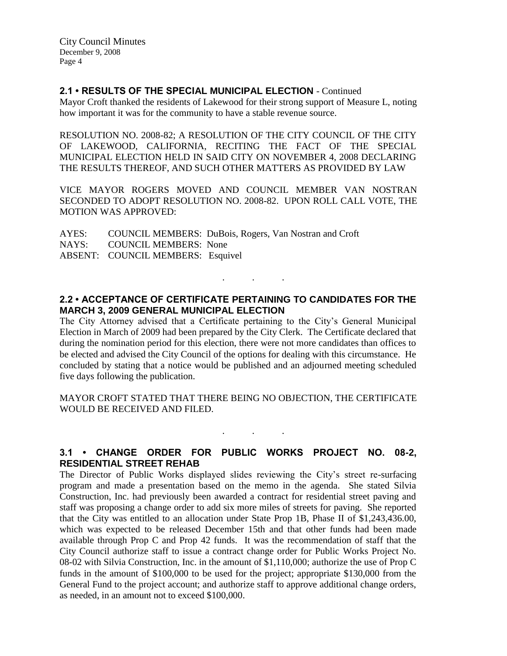City Council Minutes December 9, 2008 Page 4

### **2.1 • RESULTS OF THE SPECIAL MUNICIPAL ELECTION** - Continued

Mayor Croft thanked the residents of Lakewood for their strong support of Measure L, noting how important it was for the community to have a stable revenue source.

RESOLUTION NO. 2008-82; A RESOLUTION OF THE CITY COUNCIL OF THE CITY OF LAKEWOOD, CALIFORNIA, RECITING THE FACT OF THE SPECIAL MUNICIPAL ELECTION HELD IN SAID CITY ON NOVEMBER 4, 2008 DECLARING THE RESULTS THEREOF, AND SUCH OTHER MATTERS AS PROVIDED BY LAW

VICE MAYOR ROGERS MOVED AND COUNCIL MEMBER VAN NOSTRAN SECONDED TO ADOPT RESOLUTION NO. 2008-82. UPON ROLL CALL VOTE, THE MOTION WAS APPROVED:

AYES: COUNCIL MEMBERS: DuBois, Rogers, Van Nostran and Croft NAYS: COUNCIL MEMBERS: None ABSENT: COUNCIL MEMBERS: Esquivel

## **2.2 • ACCEPTANCE OF CERTIFICATE PERTAINING TO CANDIDATES FOR THE MARCH 3, 2009 GENERAL MUNICIPAL ELECTION**

. . .

The City Attorney advised that a Certificate pertaining to the City's General Municipal Election in March of 2009 had been prepared by the City Clerk. The Certificate declared that during the nomination period for this election, there were not more candidates than offices to be elected and advised the City Council of the options for dealing with this circumstance. He concluded by stating that a notice would be published and an adjourned meeting scheduled five days following the publication.

MAYOR CROFT STATED THAT THERE BEING NO OBJECTION, THE CERTIFICATE WOULD BE RECEIVED AND FILED.

# **3.1 • CHANGE ORDER FOR PUBLIC WORKS PROJECT NO. 08-2, RESIDENTIAL STREET REHAB**

. . .

The Director of Public Works displayed slides reviewing the City's street re-surfacing program and made a presentation based on the memo in the agenda. She stated Silvia Construction, Inc. had previously been awarded a contract for residential street paving and staff was proposing a change order to add six more miles of streets for paving. She reported that the City was entitled to an allocation under State Prop 1B, Phase II of \$1,243,436.00, which was expected to be released December 15th and that other funds had been made available through Prop C and Prop 42 funds. It was the recommendation of staff that the City Council authorize staff to issue a contract change order for Public Works Project No. 08-02 with Silvia Construction, Inc. in the amount of \$1,110,000; authorize the use of Prop C funds in the amount of \$100,000 to be used for the project; appropriate \$130,000 from the General Fund to the project account; and authorize staff to approve additional change orders, as needed, in an amount not to exceed \$100,000.